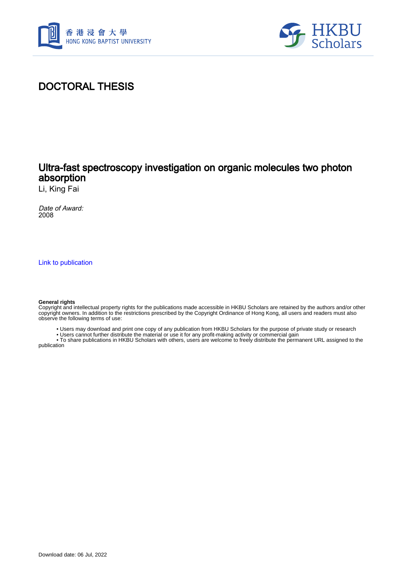



# DOCTORAL THESIS

### Ultra-fast spectroscopy investigation on organic molecules two photon absorption

Li, King Fai

Date of Award: 2008

[Link to publication](https://scholars.hkbu.edu.hk/en/studentTheses/38c5855a-e466-4b71-8af7-224e70857554)

#### **General rights**

Copyright and intellectual property rights for the publications made accessible in HKBU Scholars are retained by the authors and/or other copyright owners. In addition to the restrictions prescribed by the Copyright Ordinance of Hong Kong, all users and readers must also observe the following terms of use:

- Users may download and print one copy of any publication from HKBU Scholars for the purpose of private study or research
- Users cannot further distribute the material or use it for any profit-making activity or commercial gain

 • To share publications in HKBU Scholars with others, users are welcome to freely distribute the permanent URL assigned to the publication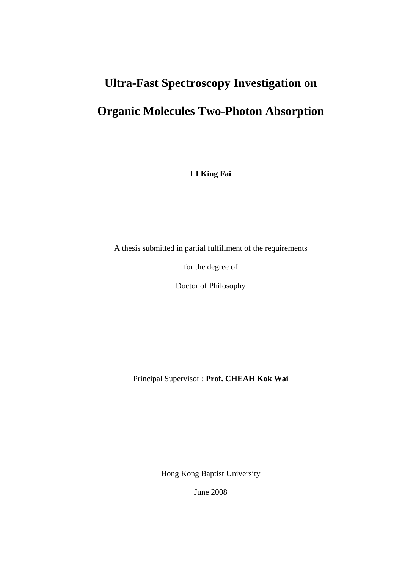# **Ultra-Fast Spectroscopy Investigation on**

# **Organic Molecules Two-Photon Absorption**

**LI King Fai** 

A thesis submitted in partial fulfillment of the requirements

for the degree of

Doctor of Philosophy

Principal Supervisor : **Prof. CHEAH Kok Wai**

Hong Kong Baptist University

June 2008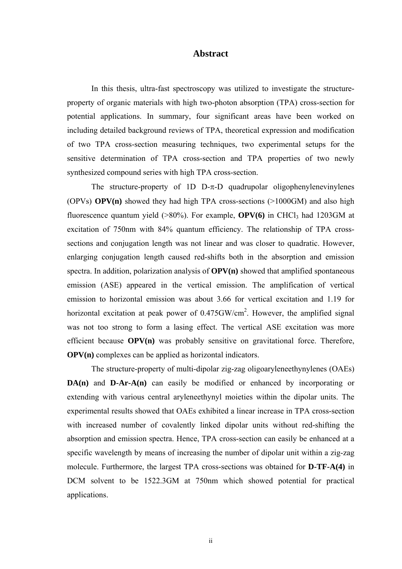#### **Abstract**

In this thesis, ultra-fast spectroscopy was utilized to investigate the structureproperty of organic materials with high two-photon absorption (TPA) cross-section for potential applications. In summary, four significant areas have been worked on including detailed background reviews of TPA, theoretical expression and modification of two TPA cross-section measuring techniques, two experimental setups for the sensitive determination of TPA cross-section and TPA properties of two newly synthesized compound series with high TPA cross-section.

The structure-property of 1D D- $\pi$ -D quadrupolar oligophenylenevinylenes (OPVs) **OPV(n)** showed they had high TPA cross-sections (>1000GM) and also high fluorescence quantum yield  $(>80\%)$ . For example, **OPV(6)** in CHCl<sub>3</sub> had 1203GM at excitation of 750nm with 84% quantum efficiency. The relationship of TPA crosssections and conjugation length was not linear and was closer to quadratic. However, enlarging conjugation length caused red-shifts both in the absorption and emission spectra. In addition, polarization analysis of **OPV(n)** showed that amplified spontaneous emission (ASE) appeared in the vertical emission. The amplification of vertical emission to horizontal emission was about 3.66 for vertical excitation and 1.19 for horizontal excitation at peak power of 0.475GW/cm<sup>2</sup>. However, the amplified signal was not too strong to form a lasing effect. The vertical ASE excitation was more efficient because **OPV(n)** was probably sensitive on gravitational force. Therefore, **OPV(n)** complexes can be applied as horizontal indicators.

The structure-property of multi-dipolar zig-zag oligoaryleneethynylenes (OAEs) **DA(n)** and **D-Ar-A(n)** can easily be modified or enhanced by incorporating or extending with various central aryleneethynyl moieties within the dipolar units. The experimental results showed that OAEs exhibited a linear increase in TPA cross-section with increased number of covalently linked dipolar units without red-shifting the absorption and emission spectra. Hence, TPA cross-section can easily be enhanced at a specific wavelength by means of increasing the number of dipolar unit within a zig-zag molecule. Furthermore, the largest TPA cross-sections was obtained for **D-TF-A(4)** in DCM solvent to be 1522.3GM at 750nm which showed potential for practical applications.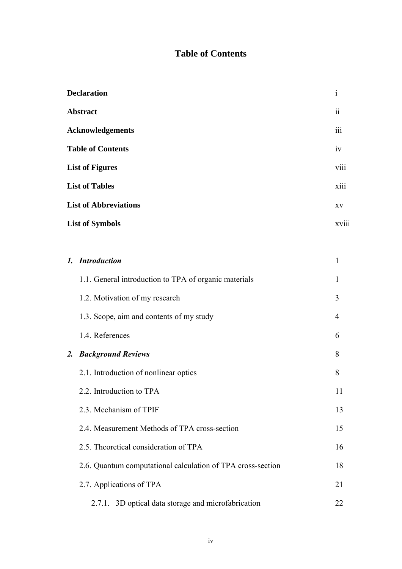## **Table of Contents**

| <b>Declaration</b>           | $\mathbf{1}$             |
|------------------------------|--------------------------|
| <b>Abstract</b>              | $\overline{\textbf{ii}}$ |
| <b>Acknowledgements</b>      | iii                      |
| <b>Table of Contents</b>     | iv                       |
| <b>List of Figures</b>       | $\ddotsc$<br><b>V111</b> |
| <b>List of Tables</b>        | xiii                     |
| <b>List of Abbreviations</b> | XV                       |
| <b>List of Symbols</b>       | xviii                    |

|    | 1. Introduction                                             | 1  |
|----|-------------------------------------------------------------|----|
|    | 1.1. General introduction to TPA of organic materials       | 1  |
|    | 1.2. Motivation of my research                              | 3  |
|    | 1.3. Scope, aim and contents of my study                    | 4  |
|    | 1.4. References                                             | 6  |
| 2. | <b>Background Reviews</b>                                   | 8  |
|    | 2.1. Introduction of nonlinear optics                       | 8  |
|    | 2.2. Introduction to TPA                                    | 11 |
|    | 2.3. Mechanism of TPIF                                      | 13 |
|    | 2.4. Measurement Methods of TPA cross-section               | 15 |
|    | 2.5. Theoretical consideration of TPA                       | 16 |
|    | 2.6. Quantum computational calculation of TPA cross-section | 18 |
|    | 2.7. Applications of TPA                                    | 21 |
|    | 2.7.1. 3D optical data storage and microfabrication         | 22 |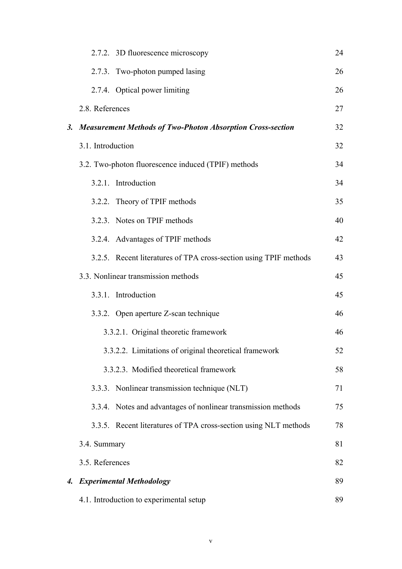|                                       |                                                     | 2.7.2. 3D fluorescence microscopy                                 | 24 |
|---------------------------------------|-----------------------------------------------------|-------------------------------------------------------------------|----|
|                                       |                                                     | 2.7.3. Two-photon pumped lasing                                   | 26 |
|                                       |                                                     | 2.7.4. Optical power limiting                                     | 26 |
|                                       | 2.8. References                                     |                                                                   | 27 |
|                                       |                                                     | 3. Measurement Methods of Two-Photon Absorption Cross-section     | 32 |
|                                       | 3.1. Introduction                                   |                                                                   | 32 |
|                                       | 3.2. Two-photon fluorescence induced (TPIF) methods |                                                                   |    |
|                                       |                                                     | 3.2.1. Introduction                                               | 34 |
|                                       |                                                     | 3.2.2. Theory of TPIF methods                                     | 35 |
|                                       |                                                     | 3.2.3. Notes on TPIF methods                                      | 40 |
|                                       |                                                     | 3.2.4. Advantages of TPIF methods                                 | 42 |
|                                       |                                                     | 3.2.5. Recent literatures of TPA cross-section using TPIF methods | 43 |
| 3.3. Nonlinear transmission methods   |                                                     | 45                                                                |    |
|                                       |                                                     | 3.3.1. Introduction                                               | 45 |
|                                       |                                                     | 3.3.2. Open aperture Z-scan technique                             | 46 |
| 3.3.2.1. Original theoretic framework |                                                     |                                                                   |    |
|                                       |                                                     | 3.3.2.2. Limitations of original theoretical framework            | 52 |
|                                       |                                                     | 3.3.2.3. Modified theoretical framework                           | 58 |
|                                       |                                                     | 3.3.3. Nonlinear transmission technique (NLT)                     | 71 |
|                                       |                                                     | 3.3.4. Notes and advantages of nonlinear transmission methods     | 75 |
|                                       |                                                     | 3.3.5. Recent literatures of TPA cross-section using NLT methods  | 78 |
|                                       | 3.4. Summary                                        |                                                                   | 81 |
|                                       | 3.5. References                                     |                                                                   | 82 |
| $\boldsymbol{4}$ .                    |                                                     | <b>Experimental Methodology</b>                                   | 89 |
|                                       |                                                     | 4.1. Introduction to experimental setup                           | 89 |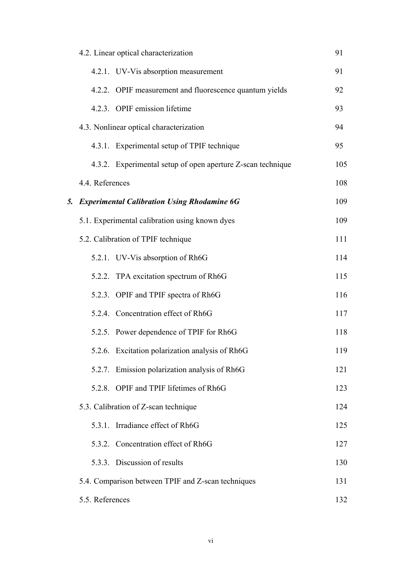|    |                                         | 4.2. Linear optical characterization                        | 91  |
|----|-----------------------------------------|-------------------------------------------------------------|-----|
|    |                                         | 4.2.1. UV-Vis absorption measurement                        | 91  |
|    |                                         | 4.2.2. OPIF measurement and fluorescence quantum yields     | 92  |
|    |                                         | 4.2.3. OPIF emission lifetime                               | 93  |
|    | 4.3. Nonlinear optical characterization |                                                             |     |
|    |                                         | 4.3.1. Experimental setup of TPIF technique                 | 95  |
|    |                                         | 4.3.2. Experimental setup of open aperture Z-scan technique | 105 |
|    | 4.4. References                         |                                                             | 108 |
| 5. |                                         | <b>Experimental Calibration Using Rhodamine 6G</b>          | 109 |
|    |                                         | 5.1. Experimental calibration using known dyes              | 109 |
|    |                                         | 5.2. Calibration of TPIF technique                          | 111 |
|    |                                         | 5.2.1. UV-Vis absorption of Rh6G                            | 114 |
|    |                                         | 5.2.2. TPA excitation spectrum of Rh6G                      | 115 |
|    |                                         | 5.2.3. OPIF and TPIF spectra of Rh6G                        | 116 |
|    |                                         | 5.2.4. Concentration effect of Rh6G                         | 117 |
|    |                                         | 5.2.5. Power dependence of TPIF for Rh6G                    | 118 |
|    |                                         | 5.2.6. Excitation polarization analysis of Rh6G             | 119 |
|    |                                         | 5.2.7. Emission polarization analysis of Rh6G               | 121 |
|    |                                         | 5.2.8. OPIF and TPIF lifetimes of Rh6G                      | 123 |
|    |                                         | 5.3. Calibration of Z-scan technique                        | 124 |
|    |                                         | 5.3.1. Irradiance effect of Rh6G                            | 125 |
|    |                                         | 5.3.2. Concentration effect of Rh6G                         | 127 |
|    |                                         | 5.3.3. Discussion of results                                | 130 |
|    |                                         | 5.4. Comparison between TPIF and Z-scan techniques          | 131 |
|    | 5.5. References                         |                                                             | 132 |